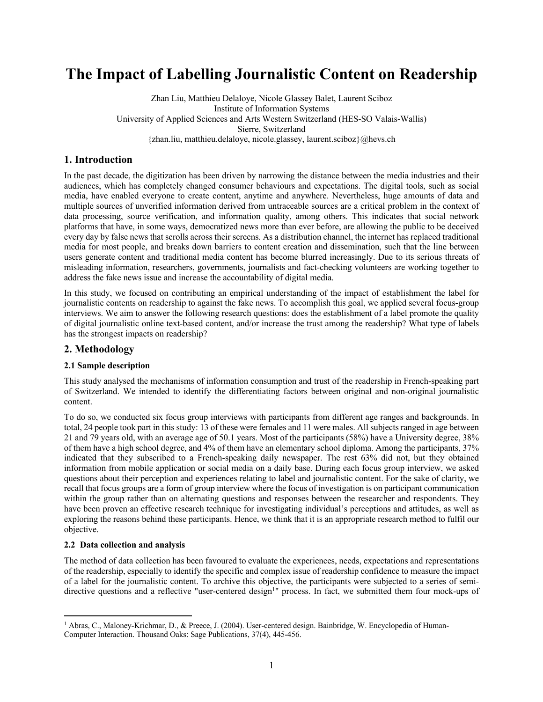# **The Impact of Labelling Journalistic Content on Readership**

Zhan Liu, Matthieu Delaloye, Nicole Glassey Balet, Laurent Sciboz Institute of Information Systems University of Applied Sciences and Arts Western Switzerland (HES-SO Valais-Wallis) Sierre, Switzerland {zhan.liu, matthieu.delaloye, nicole.glassey, laurent.sciboz}@hevs.ch

# **1. Introduction**

In the past decade, the digitization has been driven by narrowing the distance between the media industries and their audiences, which has completely changed consumer behaviours and expectations. The digital tools, such as social media, have enabled everyone to create content, anytime and anywhere. Nevertheless, huge amounts of data and multiple sources of unverified information derived from untraceable sources are a critical problem in the context of data processing, source verification, and information quality, among others. This indicates that social network platforms that have, in some ways, democratized news more than ever before, are allowing the public to be deceived every day by false news that scrolls across their screens. As a distribution channel, the internet has replaced traditional media for most people, and breaks down barriers to content creation and dissemination, such that the line between users generate content and traditional media content has become blurred increasingly. Due to its serious threats of misleading information, researchers, governments, journalists and fact-checking volunteers are working together to address the fake news issue and increase the accountability of digital media.

In this study, we focused on contributing an empirical understanding of the impact of establishment the label for journalistic contents on readership to against the fake news. To accomplish this goal, we applied several focus-group interviews. We aim to answer the following research questions: does the establishment of a label promote the quality of digital journalistic online text-based content, and/or increase the trust among the readership? What type of labels has the strongest impacts on readership?

### **2. Methodology**

### **2.1 Sample description**

This study analysed the mechanisms of information consumption and trust of the readership in French-speaking part of Switzerland. We intended to identify the differentiating factors between original and non-original journalistic content.

To do so, we conducted six focus group interviews with participants from different age ranges and backgrounds. In total, 24 people took part in this study: 13 of these were females and 11 were males. All subjects ranged in age between 21 and 79 years old, with an average age of 50.1 years. Most of the participants (58%) have a University degree, 38% of them have a high school degree, and 4% of them have an elementary school diploma. Among the participants, 37% indicated that they subscribed to a French-speaking daily newspaper. The rest 63% did not, but they obtained information from mobile application or social media on a daily base. During each focus group interview, we asked questions about their perception and experiences relating to label and journalistic content. For the sake of clarity, we recall that focus groups are a form of group interview where the focus of investigation is on participant communication within the group rather than on alternating questions and responses between the researcher and respondents. They have been proven an effective research technique for investigating individual's perceptions and attitudes, as well as exploring the reasons behind these participants. Hence, we think that it is an appropriate research method to fulfil our objective.

#### **2.2 Data collection and analysis**

The method of data collection has been favoured to evaluate the experiences, needs, expectations and representations of the readership, especially to identify the specific and complex issue of readership confidence to measure the impact of a label for the journalistic content. To archive this objective, the participants were subjected to a series of semidirective questions and a reflective "user-centered design<sup>1</sup>" process. In fact, we submitted them four mock-ups of

<sup>1</sup> Abras, C., Maloney-Krichmar, D., & Preece, J. (2004). User-centered design. Bainbridge, W. Encyclopedia of Human-Computer Interaction. Thousand Oaks: Sage Publications, 37(4), 445-456.